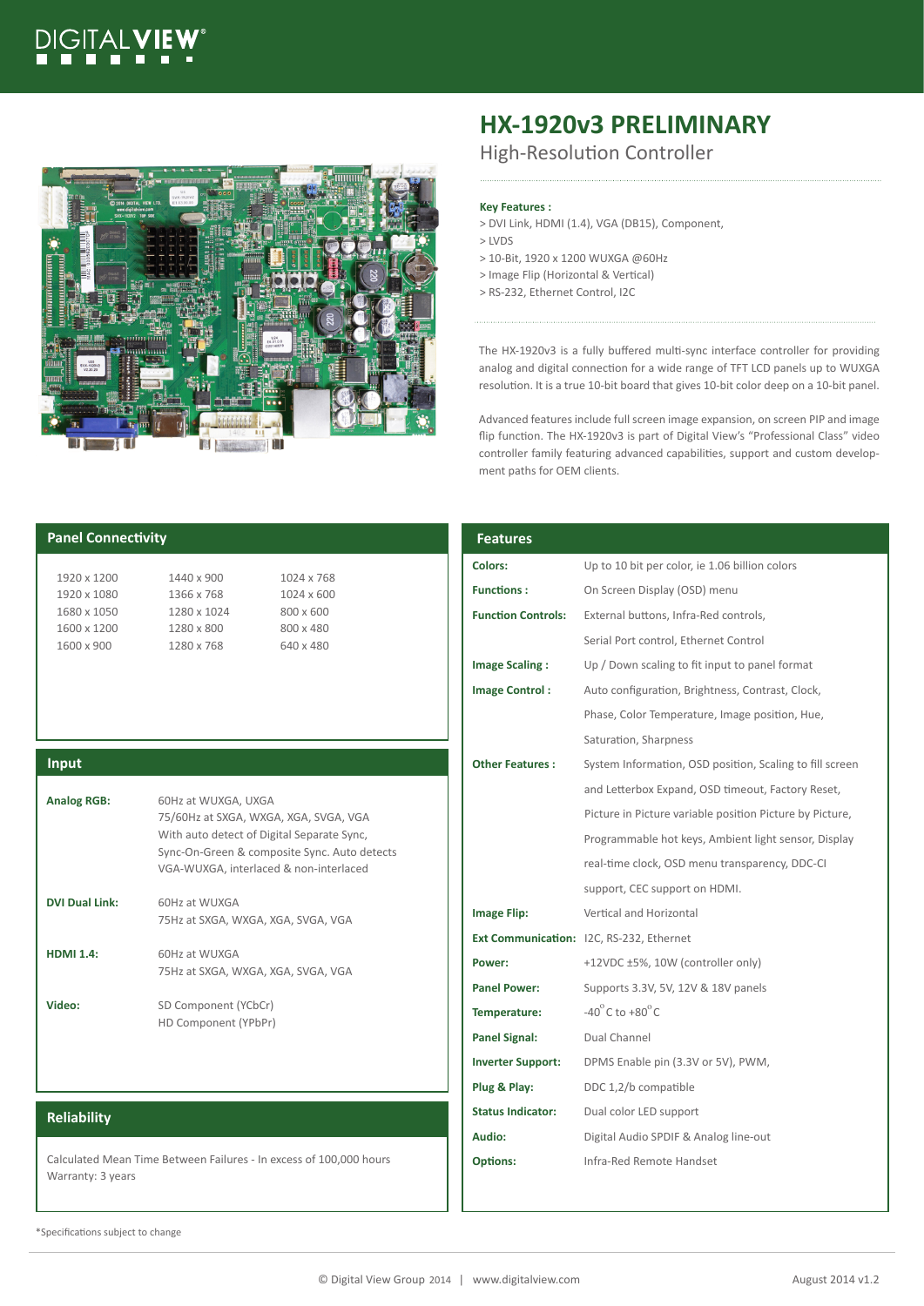# GITALVIE



# **HX-1920v3 PRELIMINARY**

High-Resolution Controller

# **Key Features :**

- > DVI Link, HDMI (1.4), VGA (DB15), Component,
- > LVDS
- > 10-Bit, 1920 x 1200 WUXGA @60Hz
- > Image Flip (Horizontal & Vertical)
- > RS-232, Ethernet Control, I2C

The HX-1920v3 is a fully buffered multi-sync interface controller for providing analog and digital connection for a wide range of TFT LCD panels up to WUXGA resolution. It is a true 10-bit board that gives 10-bit color deep on a 10-bit panel.

Advanced features include full screen image expansion, on screen PIP and image flip function. The HX-1920v3 is part of Digital View's "Professional Class" video controller family featuring advanced capabilities, support and custom development paths for OEM clients.

| <b>Panel Connectivity</b>                                                               |                                                                                                            |                        | <b>Features</b>           |                                                          |
|-----------------------------------------------------------------------------------------|------------------------------------------------------------------------------------------------------------|------------------------|---------------------------|----------------------------------------------------------|
| 1920 x 1200                                                                             | 1440 x 900                                                                                                 | 1024 x 768             | <b>Colors:</b>            | Up to 10 bit per color, ie 1.06 billion colors           |
| 1920 x 1080                                                                             | 1366 x 768                                                                                                 | 1024 x 600             | <b>Functions:</b>         | On Screen Display (OSD) menu                             |
| 1680 x 1050                                                                             | 1280 x 1024                                                                                                | 800 x 600              | <b>Function Controls:</b> | External buttons, Infra-Red controls,                    |
| 1600 x 1200<br>1600 x 900                                                               | 1280 x 800<br>1280 x 768                                                                                   | 800 x 480<br>640 x 480 |                           | Serial Port control, Ethernet Control                    |
|                                                                                         |                                                                                                            |                        | <b>Image Scaling:</b>     | Up / Down scaling to fit input to panel format           |
|                                                                                         |                                                                                                            |                        | <b>Image Control:</b>     | Auto configuration, Brightness, Contrast, Clock,         |
|                                                                                         |                                                                                                            |                        |                           | Phase, Color Temperature, Image position, Hue,           |
|                                                                                         |                                                                                                            |                        |                           | Saturation, Sharpness                                    |
| Input                                                                                   |                                                                                                            |                        | <b>Other Features:</b>    | System Information, OSD position, Scaling to fill screen |
|                                                                                         | 60Hz at WUXGA, UXGA<br>75/60Hz at SXGA, WXGA, XGA, SVGA, VGA                                               |                        |                           | and Letterbox Expand, OSD timeout, Factory Reset,        |
| <b>Analog RGB:</b>                                                                      |                                                                                                            |                        |                           | Picture in Picture variable position Picture by Picture, |
|                                                                                         | With auto detect of Digital Separate Sync,                                                                 |                        |                           | Programmable hot keys, Ambient light sensor, Display     |
|                                                                                         | Sync-On-Green & composite Sync. Auto detects<br>VGA-WUXGA, interlaced & non-interlaced                     |                        |                           | real-time clock, OSD menu transparency, DDC-CI           |
|                                                                                         |                                                                                                            |                        |                           | support, CEC support on HDMI.                            |
| <b>DVI Dual Link:</b><br><b>HDMI 1.4:</b>                                               | 60Hz at WUXGA<br>75Hz at SXGA, WXGA, XGA, SVGA, VGA<br>60Hz at WUXGA<br>75Hz at SXGA, WXGA, XGA, SVGA, VGA |                        | <b>Image Flip:</b>        | Vertical and Horizontal                                  |
|                                                                                         |                                                                                                            |                        |                           | Ext Communication: I2C, RS-232, Ethernet                 |
|                                                                                         |                                                                                                            |                        | Power:                    | +12VDC ±5%, 10W (controller only)                        |
|                                                                                         |                                                                                                            |                        | <b>Panel Power:</b>       | Supports 3.3V, 5V, 12V & 18V panels                      |
| Video:                                                                                  | SD Component (YCbCr)<br>HD Component (YPbPr)                                                               |                        | Temperature:              | $-40^{\circ}$ C to $+80^{\circ}$ C                       |
|                                                                                         |                                                                                                            |                        | <b>Panel Signal:</b>      | Dual Channel                                             |
|                                                                                         |                                                                                                            |                        | <b>Inverter Support:</b>  | DPMS Enable pin (3.3V or 5V), PWM,                       |
|                                                                                         |                                                                                                            |                        | Plug & Play:              | DDC 1,2/b compatible                                     |
| <b>Reliability</b>                                                                      |                                                                                                            |                        | <b>Status Indicator:</b>  | Dual color LED support                                   |
|                                                                                         |                                                                                                            |                        | Audio:                    | Digital Audio SPDIF & Analog line-out                    |
| Calculated Mean Time Between Failures - In excess of 100,000 hours<br>Warranty: 3 years |                                                                                                            |                        | <b>Options:</b>           | Infra-Red Remote Handset                                 |

\*Specifications subject to change